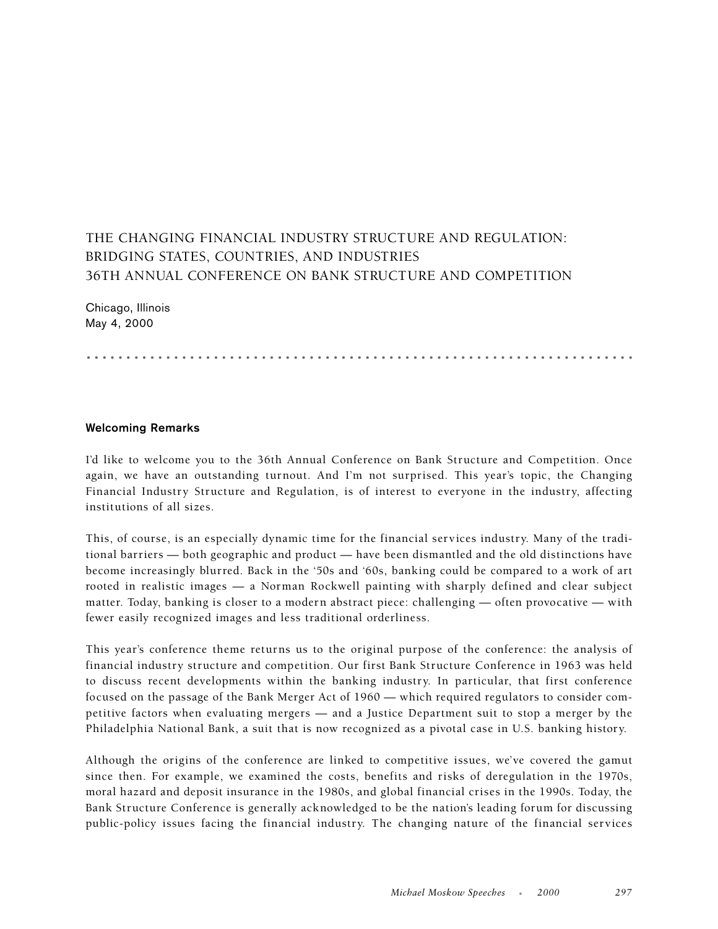## THE CHANGING FINANCIAL INDUSTRY STRUCTURE AND REGULATION: BRIDGING STATES, COUNTRIES, AND INDUSTRIES 36TH ANNUAL CONFERENCE ON BANK STRUCTURE AND COMPETITION

Chicago, Illinois May 4, 2000

.....................................................................

## **Welcoming Remarks**

I'd like to welcome you to the 36th Annual Conference on Bank Structure and Competition. Once again, we have an outstanding turnout. And I'm not surprised. This year's topic, the Changing Financial Industry Structure and Regulation, is of interest to everyone in the industry, affecting institutions of all sizes.

This, of course, is an especially dynamic time for the financial services industry. Many of the traditional barriers — both geographic and product — have been dismantled and the old distinctions have become increasingly blurred. Back in the '50s and '60s, banking could be compared to a work of art rooted in realistic images — a Norman Rockwell painting with sharply defined and clear subject matter. Today, banking is closer to a modern abstract piece: challenging — often provocative — with fewer easily recognized images and less traditional orderliness.

This year's conference theme returns us to the original purpose of the conference: the analysis of financial industry structure and competition. Our first Bank Structure Conference in 1963 was held to discuss recent developments within the banking industry. In particular, that first conference focused on the passage of the Bank Merger Act of 1960 — which required regulators to consider competitive factors when evaluating mergers — and a Justice Department suit to stop a merger by the Philadelphia National Bank, a suit that is now recognized as a pivotal case in U.S. banking history.

Although the origins of the conference are linked to competitive issues, we've covered the gamut since then. For example, we examined the costs, benefits and risks of deregulation in the 1970s, moral hazard and deposit insurance in the 1980s, and global financial crises in the 1990s. Today, the Bank Structure Conference is generally acknowledged to be the nation's leading forum for discussing public-policy issues facing the financial industry. The changing nature of the financial services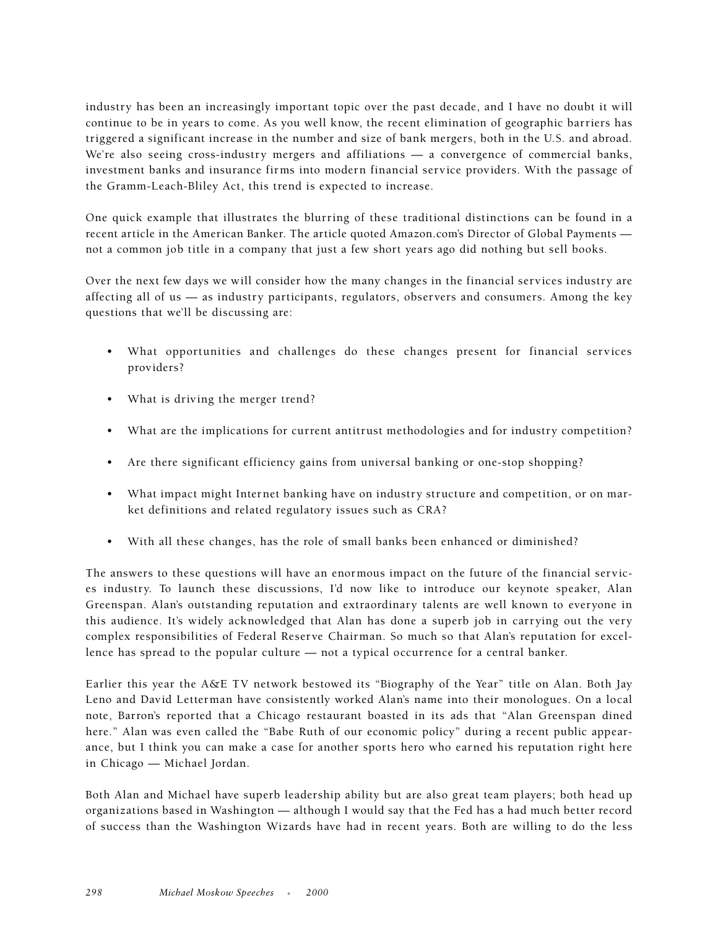industry has been an increasingly important topic over the past decade, and I have no doubt it will continue to be in years to come. As you well know, the recent elimination of geographic barriers has triggered a significant increase in the number and size of bank mergers, both in the U.S. and abroad. We're also seeing cross-industry mergers and affiliations — a convergence of commercial banks, investment banks and insurance firms into modern financial service providers. With the passage of the Gramm-Leach-Bliley Act, this trend is expected to increase.

One quick example that illustrates the blurring of these traditional distinctions can be found in a recent article in the American Banker. The article quoted Amazon.com's Director of Global Payments not a common job title in a company that just a few short years ago did nothing but sell books.

Over the next few days we will consider how the many changes in the financial services industry are affecting all of us — as industry participants, regulators, observers and consumers. Among the key questions that we'll be discussing are:

- What opportunities and challenges do these changes present for financial services providers?
- What is driving the merger trend?
- What are the implications for current antitrust methodologies and for industry competition?
- Are there significant efficiency gains from universal banking or one-stop shopping?
- What impact might Internet banking have on industry structure and competition, or on market definitions and related regulatory issues such as CRA?
- With all these changes, has the role of small banks been enhanced or diminished?

The answers to these questions will have an enormous impact on the future of the financial services industry. To launch these discussions, I'd now like to introduce our keynote speaker, Alan Greenspan. Alan's outstanding reputation and extraordinary talents are well known to everyone in this audience. It's widely acknowledged that Alan has done a superb job in carrying out the very complex responsibilities of Federal Reserve Chairman. So much so that Alan's reputation for excellence has spread to the popular culture — not a typical occurrence for a central banker.

Earlier this year the A&E TV network bestowed its "Biography of the Year" title on Alan. Both Jay Leno and David Letterman have consistently worked Alan's name into their monologues. On a local note, Barron's reported that a Chicago restaurant boasted in its ads that "Alan Greenspan dined here." Alan was even called the "Babe Ruth of our economic policy" during a recent public appearance, but I think you can make a case for another sports hero who earned his reputation right here in Chicago — Michael Jordan.

Both Alan and Michael have superb leadership ability but are also great team players; both head up organizations based in Washington — although I would say that the Fed has a had much better record of success than the Washington Wizards have had in recent years. Both are willing to do the less